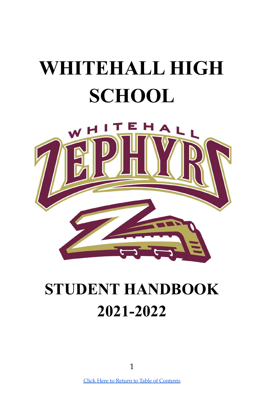# **WHITEHALL HIGH SCHOOL**



## **STUDENT HANDBOOK 2021-2022**

Click Here to Return to Table of [Contents](#page-2-0)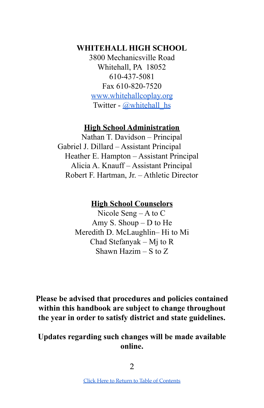## **WHITEHALL HIGH SCHOOL**

3800 Mechanicsville Road Whitehall, PA 18052 610-437-5081 Fax 610-820-7520 [www.whitehallcoplay.org](http://www.whitehallcoplay.org) Twitter - [@whitehall\\_hs](https://twitter.com/whitehall_hs?ref_src=twsrc%5Etfw%7Ctwcamp%5Eembeddedtimeline%7Ctwterm%5Eprofile%3Awhitehall_hs&ref_url=https%3A%2F%2Fwww.whitehallcoplay.org%2FDomain%2F12)

#### **High School Administration**

Nathan T. Davidson – Principal Gabriel J. Dillard – Assistant Principal Heather E. Hampton – Assistant Principal Alicia A. Knauff – Assistant Principal Robert F. Hartman, Jr. – Athletic Director

### **High School Counselors**

Nicole Seng – A to C Amy S. Shoup – D to He Meredith D. McLaughlin– Hi to Mi Chad Stefanyak – Mj to R Shawn Hazim – S to Z

**Please be advised that procedures and policies contained within this handbook are subject to change throughout the year in order to satisfy district and state guidelines.**

**Updates regarding such changes will be made available online.**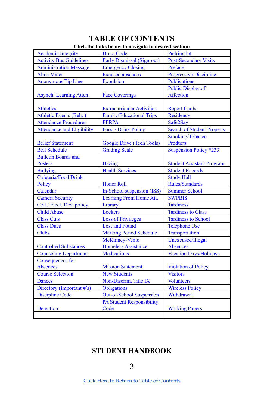#### **TABLE OF CONTENTS Click the links below to navigate to desired section:**

<span id="page-2-0"></span>

|                                   | Chek the links below to havigate to desired section. |                                   |
|-----------------------------------|------------------------------------------------------|-----------------------------------|
| <b>Academic Integrity</b>         | <b>Dress Code</b>                                    | Parking lot                       |
| <b>Activity Bus Guidelines</b>    | Early Dismissal (Sign-out)                           | <b>Post-Secondary Visits</b>      |
| <b>Administration Message</b>     | <b>Emergency Closing</b>                             | Preface                           |
| <b>Alma Mater</b>                 | <b>Excused</b> absences                              | <b>Progressive Discipline</b>     |
| <b>Anonymous Tip Line</b>         | <b>Expulsion</b>                                     | Publications                      |
|                                   |                                                      | Public Display of                 |
| Asynch. Learning Atten.           | <b>Face Coverings</b>                                | <b>Affection</b>                  |
|                                   |                                                      |                                   |
| <b>Athletics</b>                  | <b>Extracurricular Activities</b>                    | <b>Report Cards</b>               |
| Athletic Events (Beh.)            | Family/Educational Trips                             | Residency                         |
| <b>Attendance Procedures</b>      | <b>FERPA</b>                                         | Safe2Say                          |
| <b>Attendance and Eligibility</b> | Food / Drink Policy                                  | <b>Search of Student Property</b> |
|                                   |                                                      | Smoking/Tobacco                   |
| <b>Belief Statement</b>           | Google Drive (Tech Tools)                            | <b>Products</b>                   |
| <b>Bell Schedule</b>              | <b>Grading Scale</b>                                 | <b>Suspension Policy #233</b>     |
| <b>Bulletin Boards and</b>        |                                                      |                                   |
| <b>Posters</b>                    | <b>Hazing</b>                                        | <b>Student Assistant Program</b>  |
| <b>Bullying</b>                   | <b>Health Services</b>                               | <b>Student Records</b>            |
| Cafeteria/Food Drink              |                                                      | <b>Study Hall</b>                 |
| Policy                            | <b>Honor Roll</b>                                    | Rules/Standards                   |
| Calendar                          | In-School suspension (ISS)                           | <b>Summer School</b>              |
| <b>Camera Security</b>            | Learning From Home Att.                              | <b>SWPBIS</b>                     |
| Cell / Elect. Dev. policy         | Library                                              | <b>Tardiness</b>                  |
| <b>Child Abuse</b>                | Lockers                                              | <b>Tardiness to Class</b>         |
| <b>Class Cuts</b>                 | <b>Loss of Privileges</b>                            | <b>Tardiness to School</b>        |
| <b>Class Dues</b>                 | <b>Lost and Found</b>                                | <b>Telephone Use</b>              |
| <b>Clubs</b>                      | <b>Marking Period Schedule</b>                       | Transportation                    |
|                                   | McKinney-Vento                                       | Unexcused/Illegal                 |
| <b>Controlled Substances</b>      | <b>Homeless Assistance</b>                           | <b>Absences</b>                   |
| <b>Counseling Department</b>      | Medications                                          | <b>Vacation Days/Holidays</b>     |
| Consequences for                  |                                                      |                                   |
| <b>Absences</b>                   | <b>Mission Statement</b>                             | <b>Violation of Policy</b>        |
| <b>Course Selection</b>           | New Students                                         | <b>Visitors</b>                   |
| <b>Dances</b>                     | Non-Discrim. Title IX                                | <b>Volunteers</b>                 |
| Directory (Important #'s)         | <b>Obligations</b>                                   | <b>Wireless Policy</b>            |
| <b>Discipline Code</b>            | <b>Out-of-School Suspension</b>                      | Withdrawal                        |
|                                   | <b>PA Student Responsibility</b>                     |                                   |
| Detention                         | Code                                                 | <b>Working Papers</b>             |
|                                   |                                                      |                                   |

## <span id="page-2-1"></span>**STUDENT HANDBOOK**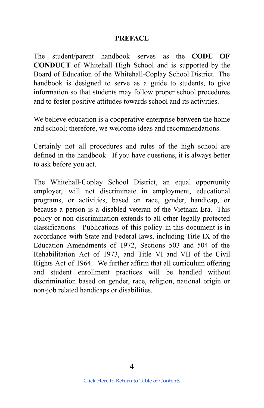#### **PREFACE**

The student/parent handbook serves as the **CODE OF CONDUCT** of Whitehall High School and is supported by the Board of Education of the Whitehall-Coplay School District. The handbook is designed to serve as a guide to students, to give information so that students may follow proper school procedures and to foster positive attitudes towards school and its activities.

We believe education is a cooperative enterprise between the home and school; therefore, we welcome ideas and recommendations.

Certainly not all procedures and rules of the high school are defined in the handbook. If you have questions, it is always better to ask before you act.

The Whitehall-Coplay School District, an equal opportunity employer, will not discriminate in employment, educational programs, or activities, based on race, gender, handicap, or because a person is a disabled veteran of the Vietnam Era. This policy or non-discrimination extends to all other legally protected classifications. Publications of this policy in this document is in accordance with State and Federal laws, including Title IX of the Education Amendments of 1972, Sections 503 and 504 of the Rehabilitation Act of 1973, and Title VI and VII of the Civil Rights Act of 1964. We further affirm that all curriculum offering and student enrollment practices will be handled without discrimination based on gender, race, religion, national origin or non-job related handicaps or disabilities.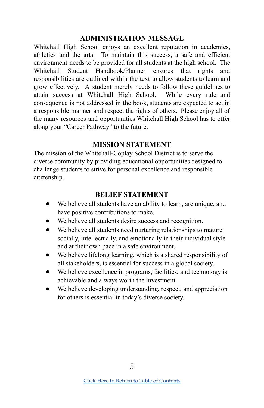#### **ADMINISTRATION MESSAGE**

<span id="page-4-0"></span>Whitehall High School enjoys an excellent reputation in academics, athletics and the arts. To maintain this success, a safe and efficient environment needs to be provided for all students at the high school. The Whitehall Student Handbook/Planner ensures that rights and responsibilities are outlined within the text to allow students to learn and grow effectively. A student merely needs to follow these guidelines to attain success at Whitehall High School. While every rule and consequence is not addressed in the book, students are expected to act in a responsible manner and respect the rights of others. Please enjoy all of the many resources and opportunities Whitehall High School has to offer along your "Career Pathway" to the future.

#### **MISSION STATEMENT**

<span id="page-4-2"></span>The mission of the Whitehall-Coplay School District is to serve the diverse community by providing educational opportunities designed to challenge students to strive for personal excellence and responsible citizenship.

#### **BELIEF STATEMENT**

- <span id="page-4-1"></span>● We believe all students have an ability to learn, are unique, and have positive contributions to make.
- We believe all students desire success and recognition.
- We believe all students need nurturing relationships to mature socially, intellectually, and emotionally in their individual style and at their own pace in a safe environment.
- We believe lifelong learning, which is a shared responsibility of all stakeholders, is essential for success in a global society.
- We believe excellence in programs, facilities, and technology is achievable and always worth the investment.
- We believe developing understanding, respect, and appreciation for others is essential in today's diverse society.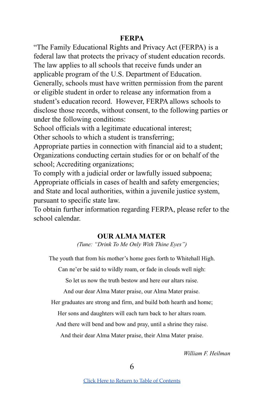#### **FERPA**

<span id="page-5-1"></span>"The Family Educational Rights and Privacy Act (FERPA) is a federal law that protects the privacy of student education records. The law applies to all schools that receive funds under an applicable program of the U.S. Department of Education. Generally, schools must have written permission from the parent or eligible student in order to release any information from a student's education record. However, FERPA allows schools to disclose those records, without consent, to the following parties or under the following conditions:

School officials with a legitimate educational interest; Other schools to which a student is transferring;

Appropriate parties in connection with financial aid to a student; Organizations conducting certain studies for or on behalf of the school; Accrediting organizations;

To comply with a judicial order or lawfully issued subpoena; Appropriate officials in cases of health and safety emergencies; and State and local authorities, within a juvenile justice system, pursuant to specific state law.

<span id="page-5-0"></span>To obtain further information regarding FERPA, please refer to the school calendar.

#### **OUR ALMA MATER**

*(Tune: "Drink To Me Only With Thine Eyes")*

The youth that from his mother's home goes forth to Whitehall High.

Can ne'er be said to wildly roam, or fade in clouds well nigh:

So let us now the truth bestow and here our altars raise.

And our dear Alma Mater praise, our Alma Mater praise.

Her graduates are strong and firm, and build both hearth and home;

Her sons and daughters will each turn back to her altars roam.

And there will bend and bow and pray, until a shrine they raise.

And their dear Alma Mater praise, their Alma Mater praise.

*William F. Heilman*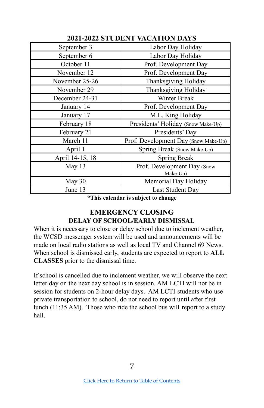<span id="page-6-1"></span>

| $\blacksquare$ $\blacksquare$ $\blacksquare$ $\blacksquare$ $\blacksquare$ $\blacksquare$ $\blacksquare$ $\blacksquare$ $\blacksquare$ $\blacksquare$ $\blacksquare$ $\blacksquare$ $\blacksquare$ $\blacksquare$ $\blacksquare$ $\blacksquare$ $\blacksquare$ $\blacksquare$ $\blacksquare$ $\blacksquare$ $\blacksquare$ $\blacksquare$ $\blacksquare$ $\blacksquare$ $\blacksquare$ $\blacksquare$ $\blacksquare$ $\blacksquare$ $\blacksquare$ $\blacksquare$ $\blacksquare$ $\blacks$<br>WICHTION DILLE |                                      |  |
|--------------------------------------------------------------------------------------------------------------------------------------------------------------------------------------------------------------------------------------------------------------------------------------------------------------------------------------------------------------------------------------------------------------------------------------------------------------------------------------------------------------|--------------------------------------|--|
| September 3                                                                                                                                                                                                                                                                                                                                                                                                                                                                                                  | Labor Day Holiday                    |  |
| September 6                                                                                                                                                                                                                                                                                                                                                                                                                                                                                                  | Labor Day Holiday                    |  |
| October 11                                                                                                                                                                                                                                                                                                                                                                                                                                                                                                   | Prof. Development Day                |  |
| November 12                                                                                                                                                                                                                                                                                                                                                                                                                                                                                                  | Prof. Development Day                |  |
| November 25-26                                                                                                                                                                                                                                                                                                                                                                                                                                                                                               | Thanksgiving Holiday                 |  |
| November 29                                                                                                                                                                                                                                                                                                                                                                                                                                                                                                  | Thanksgiving Holiday                 |  |
| December 24-31                                                                                                                                                                                                                                                                                                                                                                                                                                                                                               | <b>Winter Break</b>                  |  |
| January 14                                                                                                                                                                                                                                                                                                                                                                                                                                                                                                   | Prof. Development Day                |  |
| January 17                                                                                                                                                                                                                                                                                                                                                                                                                                                                                                   | M.L. King Holiday                    |  |
| February 18                                                                                                                                                                                                                                                                                                                                                                                                                                                                                                  | Presidents' Holiday (Snow Make-Up)   |  |
| February 21                                                                                                                                                                                                                                                                                                                                                                                                                                                                                                  | Presidents' Day                      |  |
| March 11                                                                                                                                                                                                                                                                                                                                                                                                                                                                                                     | Prof. Development Day (Snow Make-Up) |  |
| April 1                                                                                                                                                                                                                                                                                                                                                                                                                                                                                                      | Spring Break (Snow Make-Up)          |  |
| April 14-15, 18                                                                                                                                                                                                                                                                                                                                                                                                                                                                                              | Spring Break                         |  |
| May 13                                                                                                                                                                                                                                                                                                                                                                                                                                                                                                       | Prof. Development Day (Snow          |  |
|                                                                                                                                                                                                                                                                                                                                                                                                                                                                                                              | Make-Up)                             |  |
| May 30                                                                                                                                                                                                                                                                                                                                                                                                                                                                                                       | Memorial Day Holiday                 |  |
| June 13                                                                                                                                                                                                                                                                                                                                                                                                                                                                                                      | Last Student Day                     |  |

**2021-2022 STUDENT VACATION DAYS**

**\*This calendar is subject to change**

#### **EMERGENCY CLOSING DELAY OF SCHOOL/EARLY DISMISSAL**

<span id="page-6-0"></span>When it is necessary to close or delay school due to inclement weather, the WCSD messenger system will be used and announcements will be made on local radio stations as well as local TV and Channel 69 News. When school is dismissed early, students are expected to report to **ALL CLASSES** prior to the dismissal time.

If school is cancelled due to inclement weather, we will observe the next letter day on the next day school is in session. AM LCTI will not be in session for students on 2-hour delay days. AM LCTI students who use private transportation to school, do not need to report until after first lunch (11:35 AM). Those who ride the school bus will report to a study hall.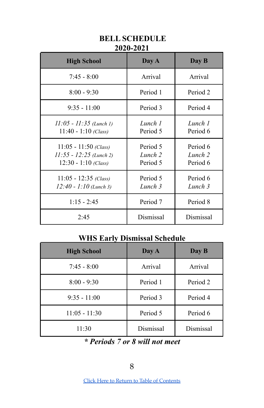<span id="page-7-0"></span>

| <b>High School</b>                                                             | Day A                           | Day B                           |
|--------------------------------------------------------------------------------|---------------------------------|---------------------------------|
| $7:45 - 8:00$                                                                  | Arrival                         | Arrival                         |
| $8:00 - 9:30$                                                                  | Period 1                        | Period 2                        |
| $9:35 - 11:00$                                                                 | Period 3                        | Period 4                        |
| $11:05 - 11:35$ (Lunch 1)<br>$11:40 - 1:10$ (Class)                            | Lunch 1<br>Period 5             | Lunch 1<br>Period 6             |
| $11:05 - 11:50$ (Class)<br>$11:55 - 12:25$ (Lunch 2)<br>$12:30 - 1:10$ (Class) | Period 5<br>Lunch 2<br>Period 5 | Period 6<br>Lunch 2<br>Period 6 |
| $11:05 - 12:35$ (Class)<br>$12:40 - 1:10$ (Lunch 3)                            | Period 5<br>Lunch 3             | Period 6<br>Lunch 3             |
| $1:15 - 2:45$                                                                  | Period 7                        | Period 8                        |
| 2:45                                                                           | Dismissal                       | Dismissal                       |

## **BELL SCHEDULE 2020-2021**

## **WHS Early Dismissal Schedule**

| <b>High School</b> | Day A     | Day B     |
|--------------------|-----------|-----------|
| $7:45 - 8:00$      | Arrival   | Arrival   |
| $8:00 - 9:30$      | Period 1  | Period 2  |
| $9:35 - 11:00$     | Period 3  | Period 4  |
| $11:05 - 11:30$    | Period 5  | Period 6  |
| 11:30              | Dismissal | Dismissal |

## *\* Periods 7 or 8 will not meet*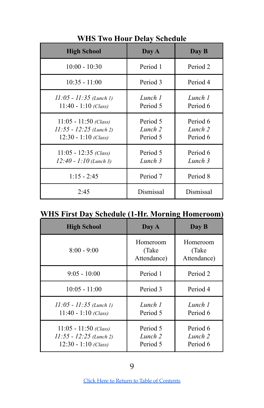| <b>High School</b>                                                             | Day A                           | Day B                           |
|--------------------------------------------------------------------------------|---------------------------------|---------------------------------|
| $10:00 - 10:30$                                                                | Period 1                        | Period 2                        |
| $10:35 - 11:00$                                                                | Period 3                        | Period 4                        |
| $11:05 - 11:35$ (Lunch 1)<br>$11:40 - 1:10$ (Class)                            | Lunch 1<br>Period 5             | Lunch 1<br>Period 6             |
| $11:05 - 11:50$ (Class)<br>$11:55 - 12:25$ (Lunch 2)<br>$12:30 - 1:10$ (Class) | Period 5<br>Lunch 2<br>Period 5 | Period 6<br>Lunch 2<br>Period 6 |
| $11:05 - 12:35$ (Class)<br>$12:40 - 1:10$ (Lunch 3)                            | Period 5<br>Lunch 3             | Period 6<br>Lunch 3             |
| $1:15 - 2:45$                                                                  | Period 7                        | Period 8                        |
| 2:45                                                                           | Dismissal                       | Dismissal                       |

**WHS Two Hour Delay Schedule**

## **WHS First Day Schedule (1-Hr. Morning Homeroom)**

| <b>High School</b>                                                             | Day A                             | Day B                             |
|--------------------------------------------------------------------------------|-----------------------------------|-----------------------------------|
| $8:00 - 9:00$                                                                  | Homeroom<br>(Take)<br>Attendance) | Homeroom<br>(Take)<br>Attendance) |
| $9:05 - 10:00$                                                                 | Period 1                          | Period 2                          |
| $10:05 - 11:00$                                                                | Period 3                          | Period 4                          |
| $11:05 - 11:35$ (Lunch 1)<br>$11:40 - 1:10$ (Class)                            | Lunch 1<br>Period 5               | Lunch 1<br>Period 6               |
| $11:05 - 11:50$ (Class)<br>$11:55 - 12:25$ (Lunch 2)<br>$12:30 - 1:10$ (Class) | Period 5<br>Lunch 2<br>Period 5   | Period 6<br>Lunch 2<br>Period 6   |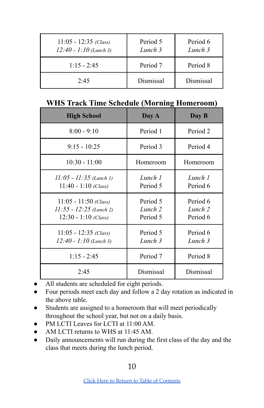| $11:05 - 12:35$ (Class)<br>$12:40 - 1:10$ (Lunch 3) | Period 5<br>Lunch 3 | Period 6<br>Lunch 3 |
|-----------------------------------------------------|---------------------|---------------------|
| $1:15 - 2:45$                                       | Period 7            | Period 8            |
| 2.45                                                | Dismissal           | Dismissal           |

#### **WHS Track Time Schedule (Morning Homeroom)**

| <b>High School</b>                                                             | Day A                           | Day B                           |
|--------------------------------------------------------------------------------|---------------------------------|---------------------------------|
| $8:00 - 9:10$                                                                  | Period 1                        | Period 2                        |
| $9:15 - 10:25$                                                                 | Period 3                        | Period 4                        |
| $10:30 - 11:00$                                                                | Homeroom                        | Homeroom                        |
| $11:05 - 11:35$ (Lunch 1)<br>$11:40 - 1:10$ (Class)                            | Lunch 1<br>Period 5             | Lunch 1<br>Period 6             |
| $11:05 - 11:50$ (Class)<br>$11:55 - 12:25$ (Lunch 2)<br>$12:30 - 1:10$ (Class) | Period 5<br>Lunch 2<br>Period 5 | Period 6<br>Lunch 2<br>Period 6 |
| $11:05 - 12:35$ (Class)<br>$12:40 - 1:10$ (Lunch 3)                            | Period 5<br>Lunch 3             | Period 6<br>Lunch 3             |
| $1:15 - 2:45$                                                                  | Period 7                        | Period 8                        |
| 2:45                                                                           | Dismissal                       | Dismissal                       |

- All students are scheduled for eight periods.
- Four periods meet each day and follow a 2 day rotation as indicated in the above table.
- Students are assigned to a homeroom that will meet periodically throughout the school year, but not on a daily basis.
- PM LCTI Leaves for LCTI at 11:00 AM.
- AM LCTI returns to WHS at 11:45 AM.
- Daily announcements will run during the first class of the day and the class that meets during the lunch period.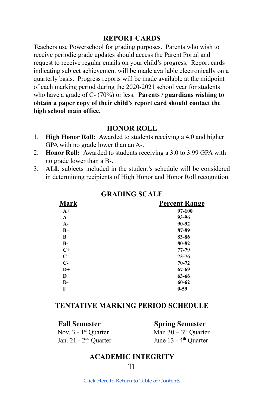#### **REPORT CARDS**

<span id="page-10-1"></span>Teachers use Powerschool for grading purposes. Parents who wish to receive periodic grade updates should access the Parent Portal and request to receive regular emails on your child's progress. Report cards indicating subject achievement will be made available electronically on a quarterly basis. Progress reports will be made available at the midpoint of each marking period during the 2020-2021 school year for students who have a grade of C- (70%) or less. **Parents / guardians wishing to obtain a paper copy of their child's report card should contact the high school main office.**

#### **HONOR ROLL**

- <span id="page-10-3"></span>1. **High Honor Roll:** Awarded to students receiving a 4.0 and higher GPA with no grade lower than an A-.
- 2. **Honor Roll:** Awarded to students receiving a 3.0 to 3.99 GPA with no grade lower than a B-.
- <span id="page-10-2"></span>3. **ALL** subjects included in the student's schedule will be considered in determining recipients of High Honor and Honor Roll recognition.

| <u>Mark</u> | <b>Percent Range</b> |  |
|-------------|----------------------|--|
| $A+$        | 97-100               |  |
| A           | 93-96                |  |
| $A-$        | 90-92                |  |
| $B+$        | 87-89                |  |
| В           | 83-86                |  |
| $B-$        | 80-82                |  |
| $C+$        | 77-79                |  |
| C           | $73 - 76$            |  |
| $C-$        | $70 - 72$            |  |
| $D+$        | 67-69                |  |
| D           | 63-66                |  |
| D-          | 60-62                |  |
| F           | $0 - 59$             |  |

#### **GRADING SCALE**

#### <span id="page-10-4"></span>**TENTATIVE MARKING PERIOD SCHEDULE**

**Fall Semester Spring Semester**

<span id="page-10-0"></span>Nov. 3 - 1<sup>st</sup> Quarter Jan.  $21 - 2<sup>nd</sup>$  Quarter June 13 -  $4<sup>t</sup>$ 

<sup>st</sup> Quarter Mar.  $30 - 3^{rd}$  Quarter June  $13 - 4$ <sup>th</sup> Ouarter

## **ACADEMIC INTEGRITY**

Click Here to Return to Table of [Contents](#page-2-0)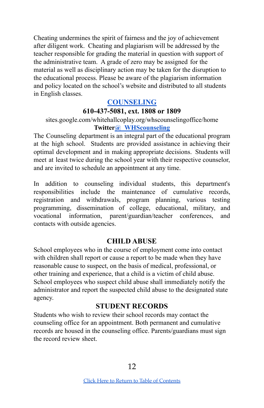Cheating undermines the spirit of fairness and the joy of achievement after diligent work. Cheating and plagiarism will be addressed by the teacher responsible for grading the material in question with support of the administrative team. A grade of zero may be assigned for the material as well as disciplinary action may be taken for the disruption to the educational process. Please be aware of the plagiarism information and policy located on the school's website and distributed to all students in English classes.

#### **[COUNSELING](https://sites.google.com/whitehallcoplay.org/whscounselingoffice/home)**

#### **610-437-5081, ext. 1808 or 1809**

#### <span id="page-11-2"></span>[sites.google.com/whitehallcoplay.org/whscounselingoffice/home](https://sites.google.com/whitehallcoplay.org/whscounselingoffice/home) **Twitte[r@\\_WHScounseling](https://twitter.com/_WHScounseling)**

The Counseling department is an integral part of the educational program at the high school. Students are provided assistance in achieving their optimal development and in making appropriate decisions. Students will meet at least twice during the school year with their respective counselor, and are invited to schedule an appointment at any time.

In addition to counseling individual students, this department's responsibilities include the maintenance of cumulative records, registration and withdrawals, program planning, various testing programming, dissemination of college, educational, military, and vocational information, parent/guardian/teacher conferences, and contacts with outside agencies.

#### **CHILD ABUSE**

<span id="page-11-1"></span>School employees who in the course of employment come into contact with children shall report or cause a report to be made when they have reasonable cause to suspect, on the basis of medical, professional, or other training and experience, that a child is a victim of child abuse. School employees who suspect child abuse shall immediately notify the administrator and report the suspected child abuse to the designated state agency.

## **STUDENT RECORDS**

<span id="page-11-0"></span>Students who wish to review their school records may contact the counseling office for an appointment. Both permanent and cumulative records are housed in the counseling office. Parents/guardians must sign the record review sheet.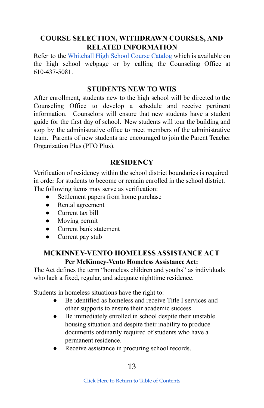## <span id="page-12-2"></span>**COURSE SELECTION, WITHDRAWN COURSES, AND RELATED INFORMATION**

Refer to the [Whitehall](https://www.whitehallcoplay.org/cms/lib/PA50000018/Centricity/Domain/12/WHS%20Course%20Catalog%202019-2020.pdf) High School Course Catalog which is available on the high school webpage or by calling the Counseling Office at 610-437-5081.

#### **STUDENTS NEW TO WHS**

<span id="page-12-3"></span>After enrollment, students new to the high school will be directed to the Counseling Office to develop a schedule and receive pertinent information. Counselors will ensure that new students have a student guide for the first day of school. New students will tour the building and stop by the administrative office to meet members of the administrative team. Parents of new students are encouraged to join the Parent Teacher Organization Plus (PTO Plus).

#### **RESIDENCY**

<span id="page-12-0"></span>Verification of residency within the school district boundaries is required in order for students to become or remain enrolled in the school district. The following items may serve as verification:

- Settlement papers from home purchase
- Rental agreement
- Current tax bill
- Moving permit
- Current bank statement
- Current pay stub

#### <span id="page-12-1"></span>**MCKINNEY-VENTO HOMELESS ASSISTANCE ACT Per McKinney-Vento Homeless Assistance Act:**

The Act defines the term "homeless children and youths" as individuals who lack a fixed, regular, and adequate nighttime residence.

Students in homeless situations have the right to:

- Be identified as homeless and receive Title I services and other supports to ensure their academic success.
- Be immediately enrolled in school despite their unstable housing situation and despite their inability to produce documents ordinarily required of students who have a permanent residence.
- Receive assistance in procuring school records.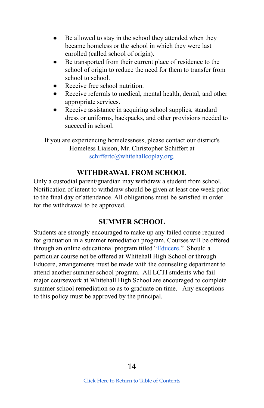- Be allowed to stay in the school they attended when they became homeless or the school in which they were last enrolled (called school of origin).
- Be transported from their current place of residence to the school of origin to reduce the need for them to transfer from school to school
- Receive free school nutrition.
- Receive referrals to medical, mental health, dental, and other appropriate services.
- Receive assistance in acquiring school supplies, standard dress or uniforms, backpacks, and other provisions needed to succeed in school.

If you are experiencing homelessness, please contact our district's Homeless Liaison, Mr. Christopher Schiffert at schiffertc@whitehallcoplay.org.

## **WITHDRAWAL FROM SCHOOL**

<span id="page-13-0"></span>Only a custodial parent/guardian may withdraw a student from school. Notification of intent to withdraw should be given at least one week prior to the final day of attendance. All obligations must be satisfied in order for the withdrawal to be approved.

## **SUMMER SCHOOL**

Students are strongly encouraged to make up any failed course required for graduation in a summer remediation program. Courses will be offered through an online educational program titled "[Educere.](https://www.educere.net/)" Should a particular course not be offered at Whitehall High School or through Educere, arrangements must be made with the counseling department to attend another summer school program. All LCTI students who fail major coursework at Whitehall High School are encouraged to complete summer school remediation so as to graduate on time. Any exceptions to this policy must be approved by the principal.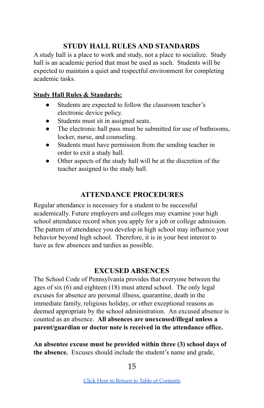### **STUDY HALL RULES AND STANDARDS**

<span id="page-14-2"></span>A study hall is a place to work and study, not a place to socialize. Study hall is an academic period that must be used as such. Students will be expected to maintain a quiet and respectful environment for completing academic tasks.

#### **Study Hall Rules & Standards:**

- Students are expected to follow the classroom teacher's electronic device policy.
- Students must sit in assigned seats.
- The electronic hall pass must be submitted for use of bathrooms, locker, nurse, and counseling.
- Students must have permission from the sending teacher in order to exit a study hall.
- Other aspects of the study hall will be at the discretion of the teacher assigned to the study hall.

## **ATTENDANCE PROCEDURES**

<span id="page-14-1"></span>Regular attendance is necessary for a student to be successful academically. Future employers and colleges may examine your high school attendance record when you apply for a job or college admission. The pattern of attendance you develop in high school may influence your behavior beyond high school. Therefore, it is in your best interest to have as few absences and tardies as possible.

## **EXCUSED ABSENCES**

<span id="page-14-0"></span>The School Code of Pennsylvania provides that everyone between the ages of six (6) and eighteen (18) must attend school. The only legal excuses for absence are personal illness, quarantine, death in the immediate family, religious holiday, or other exceptional reasons as deemed appropriate by the school administration. An excused absence is counted as an absence. **All absences are unexcused/illegal unless a parent/guardian or doctor note is received in the attendance office.**

**An absentee excuse must be provided within three (3) school days of the absence.** Excuses should include the student's name and grade,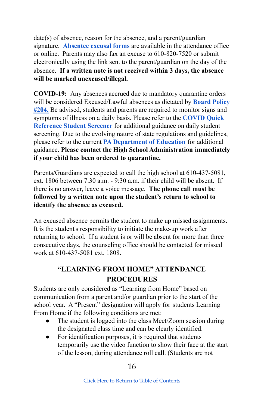date(s) of absence, reason for the absence, and a parent/guardian signature. **[Absentee](https://drive.google.com/file/d/0B0utjlj5qJPnU1BhN2dYOHNIRVE/view) excusal forms** are available in the attendance office or online. Parents may also fax an excuse to 610-820-7520 or submit electronically using the link sent to the parent/guardian on the day of the absence. **If a written note is not received within 3 days, the absence will be marked unexcused/illegal.**

**COVID-19:** Any absences accrued due to mandatory quarantine orders will be considered Excused/Lawful absences as dictated by **[Board](http://go.boarddocs.com/pa/whit/Board.nsf/goto?open&id=BF8JW74F0B1A) Policy [#204.](http://go.boarddocs.com/pa/whit/Board.nsf/goto?open&id=BF8JW74F0B1A)** Be advised, students and parents are required to monitor signs and symptoms of illness on a daily basis. Please refer to the **[COVID](https://docs.google.com/document/d/1t915OfJMehyYx_wIJv-CM3PBEyilpzS-N2wninQdj5k/edit?usp=sharing) Quick [Reference](https://docs.google.com/document/d/1t915OfJMehyYx_wIJv-CM3PBEyilpzS-N2wninQdj5k/edit?usp=sharing) Student Screener** for additional guidance on daily student screening. Due to the evolving nature of state regulations and guidelines, please refer to the current **PA [Department](https://www.education.pa.gov/Schools/safeschools/emergencyplanning/COVID-19/Pages/default.aspx) of Education** for additional guidance. **Please contact the High School Administration immediately if your child has been ordered to quarantine.**

Parents/Guardians are expected to call the high school at 610-437-5081, ext. 1806 between 7:30 a.m. - 9:30 a.m. if their child will be absent. If there is no answer, leave a voice message. **The phone call must be followed by a written note upon the student's return to school to identify the absence as excused.**

An excused absence permits the student to make up missed assignments. It is the student's responsibility to initiate the make-up work after returning to school. If a student is or will be absent for more than three consecutive days, the counseling office should be contacted for missed work at 610-437-5081 ext. 1808.

## **"LEARNING FROM HOME" ATTENDANCE PROCEDURES**

<span id="page-15-0"></span>Students are only considered as "Learning from Home" based on communication from a parent and/or guardian prior to the start of the school year. A "Present" designation will apply for students Learning From Home if the following conditions are met:

- The student is logged into the class Meet/Zoom session during the designated class time and can be clearly identified.
- For identification purposes, it is required that students temporarily use the video function to show their face at the start of the lesson, during attendance roll call. (Students are not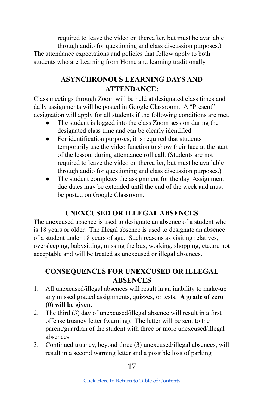required to leave the video on thereafter, but must be available through audio for questioning and class discussion purposes.) The attendance expectations and policies that follow apply to both students who are Learning from Home and learning traditionally.

## **ASYNCHRONOUS LEARNING DAYS AND ATTENDANCE:**

<span id="page-16-0"></span>Class meetings through Zoom will be held at designated class times and daily assignments will be posted in Google Classroom. A "Present" designation will apply for all students if the following conditions are met.

- The student is logged into the class Zoom session during the designated class time and can be clearly identified.
- For identification purposes, it is required that students temporarily use the video function to show their face at the start of the lesson, during attendance roll call. (Students are not required to leave the video on thereafter, but must be available through audio for questioning and class discussion purposes.)
- The student completes the assignment for the day. Assignment due dates may be extended until the end of the week and must be posted on Google Classroom.

## **UNEXCUSED OR ILLEGALABSENCES**

<span id="page-16-1"></span>The unexcused absence is used to designate an absence of a student who is 18 years or older. The illegal absence is used to designate an absence of a student under 18 years of age. Such reasons as visiting relatives, oversleeping, babysitting, missing the bus, working, shopping, etc.are not acceptable and will be treated as unexcused or illegal absences.

## <span id="page-16-2"></span>**CONSEQUENCES FOR UNEXCUSED OR ILLEGAL ABSENCES**

- 1. All unexcused/illegal absences will result in an inability to make-up any missed graded assignments, quizzes, or tests. **A grade of zero (0) will be given.**
- 2. The third (3) day of unexcused/illegal absence will result in a first offense truancy letter (warning). The letter will be sent to the parent/guardian of the student with three or more unexcused/illegal absences.
- 3. Continued truancy, beyond three (3) unexcused/illegal absences, will result in a second warning letter and a possible loss of parking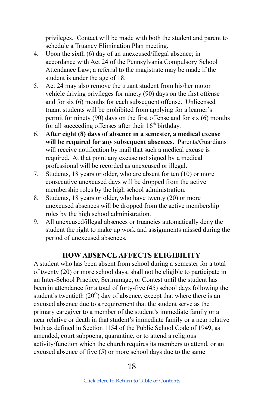privileges. Contact will be made with both the student and parent to schedule a Truancy Elimination Plan meeting.

- 4. Upon the sixth (6) day of an unexcused/illegal absence; in accordance with Act 24 of the Pennsylvania Compulsory School Attendance Law; a referral to the magistrate may be made if the student is under the age of 18.
- 5. Act 24 may also remove the truant student from his/her motor vehicle driving privileges for ninety (90) days on the first offense and for six (6) months for each subsequent offense. Unlicensed truant students will be prohibited from applying for a learner's permit for ninety (90) days on the first offense and for six (6) months for all succeeding offenses after their 16<sup>th</sup> birthday.
- 6. **After eight (8) days of absence in a semester, a medical excuse will be required for any subsequent absences.** Parents/Guardians will receive notification by mail that such a medical excuse is required. At that point any excuse not signed by a medical professional will be recorded as unexcused or illegal.
- 7. Students, 18 years or older, who are absent for ten (10) or more consecutive unexcused days will be dropped from the active membership roles by the high school administration.
- 8. Students, 18 years or older, who have twenty (20) or more unexcused absences will be dropped from the active membership roles by the high school administration.
- 9. All unexcused/illegal absences or truancies automatically deny the student the right to make up work and assignments missed during the period of unexcused absences.

## **HOW ABSENCE AFFECTS ELIGIBILITY**

<span id="page-17-0"></span>A student who has been absent from school during a semester for a total of twenty (20) or more school days, shall not be eligible to participate in an Inter-School Practice, Scrimmage, or Contest until the student has been in attendance for a total of forty-five (45) school days following the student's twentieth  $(20<sup>th</sup>)$  day of absence, except that where there is an excused absence due to a requirement that the student serve as the primary caregiver to a member of the student's immediate family or a near relative or death in that student's immediate family or a near relative both as defined in Section 1154 of the Public School Code of 1949, as amended, court subpoena, quarantine, or to attend a religious activity/function which the church requires its members to attend, or an excused absence of five (5) or more school days due to the same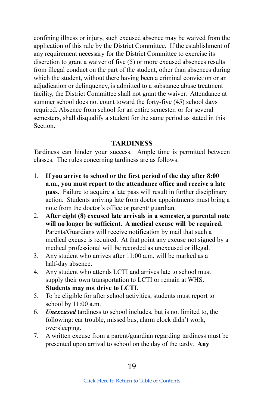confining illness or injury, such excused absence may be waived from the application of this rule by the District Committee. If the establishment of any requirement necessary for the District Committee to exercise its discretion to grant a waiver of five (5) or more excused absences results from illegal conduct on the part of the student, other than absences during which the student, without there having been a criminal conviction or an adjudication or delinquency, is admitted to a substance abuse treatment facility, the District Committee shall not grant the waiver. Attendance at summer school does not count toward the forty-five (45) school days required. Absence from school for an entire semester, or for several semesters, shall disqualify a student for the same period as stated in this **Section** 

#### **TARDINESS**

<span id="page-18-0"></span>Tardiness can hinder your success. Ample time is permitted between classes. The rules concerning tardiness are as follows:

- 1. **If you arrive to school or the first period of the day after 8:00 a.m., you must report to the attendance office and receive a late pass.** Failure to acquire a late pass will result in further disciplinary action. Students arriving late from doctor appointments must bring a note from the doctor's office or parent/ guardian.
- 2. **After eight (8) excused late arrivals in a semester, a parental note will no longer be sufficient. A medical excuse will be required.** Parents/Guardians will receive notification by mail that such a medical excuse is required. At that point any excuse not signed by a medical professional will be recorded as unexcused or illegal.
- 3. Any student who arrives after 11:00 a.m. will be marked as a half-day absence.
- 4. Any student who attends LCTI and arrives late to school must supply their own transportation to LCTI or remain at WHS. **Students may not drive to LCTI.**
- 5. To be eligible for after school activities, students must report to school by 11:00 a.m.
- 6. *Unexcused* tardiness to school includes, but is not limited to, the following: car trouble, missed bus, alarm clock didn't work, oversleeping.
- 7. A written excuse from a parent/guardian regarding tardiness must be presented upon arrival to school on the day of the tardy. **Any**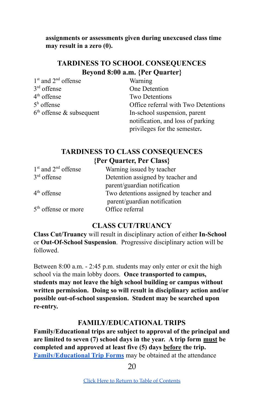**assignments or assessments given during unexcused class time may result in a zero (0).**

## **TARDINESS TO SCHOOL CONSEQUENCES Beyond 8:00 a.m. {Per Quarter}**

<span id="page-19-3"></span>1<sup>st</sup> and 2<sup>nd</sup> offense Warning  $3<sup>rd</sup>$  offense  $4<sup>th</sup>$  offense  $5<sup>h</sup>$  offense  $6<sup>th</sup>$  offense & subsequent

**One Detention** Two Detentions Office referral with Two Detentions In-school suspension, parent notification, and loss of parking privileges for the semester**.**

## **TARDINESS TO CLASS CONSEQUENCES {Per Quarter, Per Class}**

<span id="page-19-1"></span>

| Warning issued by teacher              |
|----------------------------------------|
| Detention assigned by teacher and      |
| parent/guardian notification           |
| Two detentions assigned by teacher and |
| parent/guardian notification           |
| Office referral                        |
|                                        |

#### **CLASS CUT/TRUANCY**

<span id="page-19-2"></span>**Class Cut/Truancy** will result in disciplinary action of either **In-School** or **Out-Of-School Suspension**. Progressive disciplinary action will be followed.

Between 8:00 a.m. - 2:45 p.m. students may only enter or exit the high school via the main lobby doors. **Once transported to campus, students may not leave the high school building or campus without written permission. Doing so will result in disciplinary action and/or possible out-of-school suspension. Student may be searched upon re-entry.**

#### **FAMILY/EDUCATIONAL TRIPS**

<span id="page-19-0"></span>**Family/Educational trips are subject to approval of the principal and are limited to seven (7) school days in the year. A trip form must be completed and approved at least five (5) days before the trip. [Family/Educational](https://docs.google.com/document/d/1u4j4eFtMj_ct_8w9VBJ9Syhj2153nukge6meBDKlZRI/edit) Trip Forms** may be obtained at the attendance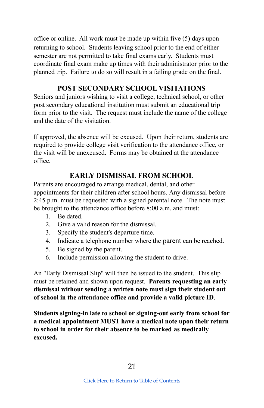office or online. All work must be made up within five (5) days upon returning to school. Students leaving school prior to the end of either semester are not permitted to take final exams early. Students must coordinate final exam make up times with their administrator prior to the planned trip. Failure to do so will result in a failing grade on the final.

## **POST SECONDARY SCHOOL VISITATIONS**

<span id="page-20-1"></span>Seniors and juniors wishing to visit a college, technical school, or other post secondary educational institution must submit an educational trip form prior to the visit. The request must include the name of the college and the date of the visitation.

If approved, the absence will be excused. Upon their return, students are required to provide college visit verification to the attendance office, or the visit will be unexcused. Forms may be obtained at the attendance office.

## **EARLY DISMISSAL FROM SCHOOL**

<span id="page-20-0"></span>Parents are encouraged to arrange medical, dental, and other appointments for their children after school hours. Any dismissal before 2:45 p.m. must be requested with a signed parental note. The note must be brought to the attendance office before 8:00 a.m. and must:

- 1 Be dated
- 2. Give a valid reason for the dismissal.
- 3. Specify the student's departure time.
- 4. Indicate a telephone number where the parent can be reached.
- 5. Be signed by the parent.
- 6. Include permission allowing the student to drive.

An "Early Dismissal Slip" will then be issued to the student. This slip must be retained and shown upon request. **Parents requesting an early dismissal without sending a written note must sign their student out of school in the attendance office and provide a valid picture ID**.

**Students signing-in late to school or signing-out early from school for a medical appointment MUST have a medical note upon their return to school in order for their absence to be marked as medically excused.**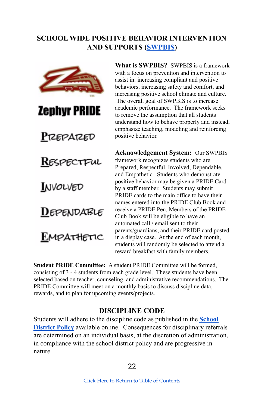## <span id="page-21-0"></span>**SCHOOL WIDE POSITIVE BEHAVIOR INTERVENTION AND SUPPORTS [\(SWPBIS\)](https://sites.google.com/whitehallcoplay.org/hs-swpbis/home?authuser=0)**



**What is SWPBIS?** SWPBIS is a framework with a focus on prevention and intervention to assist in: increasing compliant and positive behaviors, increasing safety and comfort, and increasing positive school climate and culture. The overall goal of SWPBIS is to increase academic performance. The framework seeks to remove the assumption that all students understand how to behave properly and instead, emphasize teaching, modeling and reinforcing positive behavior.

**Acknowledgement System:** Our SWPBIS framework recognizes students who are Prepared, Respectful, Involved, Dependable, and Empathetic. Students who demonstrate positive behavior may be given a PRIDE Card by a staff member. Students may submit PRIDE cards to the main office to have their names entered into the PRIDE Club Book and receive a PRIDE Pen. Members of the PRIDE Club Book will be eligible to have an automated call / email sent to their parents/guardians, and their PRIDE card posted in a display case. At the end of each month, students will randomly be selected to attend a reward breakfast with family members.

**Student PRIDE Committee:** A student PRIDE Committee will be formed, consisting of 3 - 4 students from each grade level. These students have been selected based on teacher, counseling, and administrative recommendations. The PRIDE Committee will meet on a monthly basis to discuss discipline data, rewards, and to plan for upcoming events/projects.

#### **DISCIPLINE CODE**

<span id="page-21-1"></span>Students will adhere to the discipline code as published in the **[School](http://www.boarddocs.com/pa/whit/Board.nsf/goto?open&id=9P5EWU3C63F6) [District](http://www.boarddocs.com/pa/whit/Board.nsf/goto?open&id=9P5EWU3C63F6) Policy** available online. Consequences for disciplinary referrals are determined on an individual basis, at the discretion of administration, in compliance with the school district policy and are progressive in nature.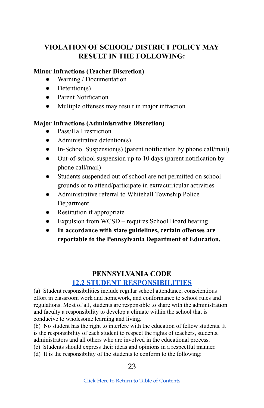## <span id="page-22-0"></span>**VIOLATION OF SCHOOL/ DISTRICT POLICY MAY RESULT IN THE FOLLOWING:**

#### **Minor Infractions (Teacher Discretion)**

- Warning / Documentation
- $\bullet$  Detention(s)
- Parent Notification
- Multiple offenses may result in major infraction

#### **Major Infractions (Administrative Discretion)**

- Pass/Hall restriction
- Administrative detention(s)
- In-School Suspension(s) (parent notification by phone call/mail)
- Out-of-school suspension up to 10 days (parent notification by phone call/mail)
- Students suspended out of school are not permitted on school grounds or to attend/participate in extracurricular activities
- Administrative referral to Whitehall Township Police Department
- Restitution if appropriate
- Expulsion from WCSD requires School Board hearing
- **● In accordance with state guidelines, certain offenses are reportable to the Pennsylvania Department of Education.**

#### **PENNSYLVANIA CODE 12.2 STUDENT [RESPONSIBILITIES](https://www.pacode.com/secure/data/022/chapter12/s12.2.html)**

<span id="page-22-1"></span>(a) Student responsibilities include regular school attendance, conscientious effort in classroom work and homework, and conformance to school rules and regulations. Most of all, students are responsible to share with the administration and faculty a responsibility to develop a climate within the school that is conducive to wholesome learning and living.

(b) No student has the right to interfere with the education of fellow students. It is the responsibility of each student to respect the rights of teachers, students, administrators and all others who are involved in the educational process.

- (c) Students should express their ideas and opinions in a respectful manner.
- (d) It is the responsibility of the students to conform to the following: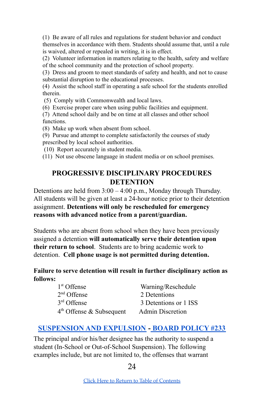(1) Be aware of all rules and regulations for student behavior and conduct themselves in accordance with them. Students should assume that, until a rule is waived, altered or repealed in writing, it is in effect.

(2) Volunteer information in matters relating to the health, safety and welfare of the school community and the protection of school property.

(3) Dress and groom to meet standards of safety and health, and not to cause substantial disruption to the educational processes.

(4) Assist the school staff in operating a safe school for the students enrolled therein.

(5) Comply with Commonwealth and local laws.

(6) Exercise proper care when using public facilities and equipment.

(7) Attend school daily and be on time at all classes and other school functions.

(8) Make up work when absent from school.

(9) Pursue and attempt to complete satisfactorily the courses of study prescribed by local school authorities.

(10) Report accurately in student media.

<span id="page-23-0"></span>(11) Not use obscene language in student media or on school premises.

#### **PROGRESSIVE DISCIPLINARY PROCEDURES DETENTION**

<span id="page-23-2"></span>Detentions are held from 3:00 – 4:00 p.m., Monday through Thursday. All students will be given at least a 24-hour notice prior to their detention assignment. **Detentions will only be rescheduled for emergency reasons with advanced notice from a parent/guardian.**

Students who are absent from school when they have been previously assigned a detention **will automatically serve their detention upon their return to school**. Students are to bring academic work to detention. **Cell phone usage is not permitted during detention.**

#### **Failure to serve detention will result in further disciplinary action as follows:**

| 1 <sup>st</sup> Offense              | Warning/Reschedule      |
|--------------------------------------|-------------------------|
| $2nd$ Offense                        | 2 Detentions            |
| 3 <sup>rd</sup> Offense              | 3 Detentions or 1 ISS   |
| 4 <sup>th</sup> Offense & Subsequent | <b>Admin Discretion</b> |

#### <span id="page-23-1"></span>**[SUSPENSION](http://www.boarddocs.com/pa/whit/Board.nsf/goto?open&id=9P5EY53C92C6) AND EXPULSION - BOARD [POLICY](http://www.boarddocs.com/pa/whit/Board.nsf/goto?open&id=9P5EY53C92C6) #233**

The principal and/or his/her designee has the authority to suspend a student (In-School or Out-of-School Suspension). The following examples include, but are not limited to, the offenses that warrant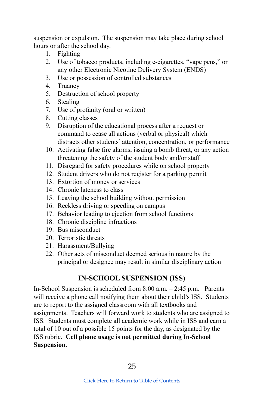suspension or expulsion. The suspension may take place during school hours or after the school day.

- 1. Fighting
- 2. Use of tobacco products, including e-cigarettes, "vape pens," or any other Electronic Nicotine Delivery System (ENDS)
- 3. Use or possession of controlled substances
- 4. Truancy
- 5. Destruction of school property
- 6. Stealing
- 7. Use of profanity (oral or written)
- 8. Cutting classes
- 9. Disruption of the educational process after a request or command to cease all actions (verbal or physical) which distracts other students' attention, concentration, or performance
- 10. Activating false fire alarms, issuing a bomb threat, or any action threatening the safety of the student body and/or staff
- 11. Disregard for safety procedures while on school property
- 12. Student drivers who do not register for a parking permit
- 13. Extortion of money or services
- 14. Chronic lateness to class
- 15. Leaving the school building without permission
- 16. Reckless driving or speeding on campus
- 17. Behavior leading to ejection from school functions
- 18. Chronic discipline infractions
- 19. Bus misconduct
- 20. Terroristic threats
- 21. Harassment/Bullying
- <span id="page-24-0"></span>22. Other acts of misconduct deemed serious in nature by the principal or designee may result in similar disciplinary action

## **IN-SCHOOL SUSPENSION (ISS)**

In-School Suspension is scheduled from 8:00 a.m. – 2:45 p.m. Parents will receive a phone call notifying them about their child's ISS. Students are to report to the assigned classroom with all textbooks and assignments. Teachers will forward work to students who are assigned to ISS. Students must complete all academic work while in ISS and earn a total of 10 out of a possible 15 points for the day, as designated by the ISS rubric. **Cell phone usage is not permitted during In-School Suspension.**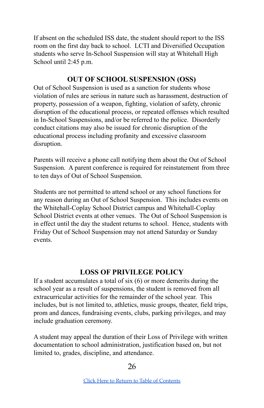If absent on the scheduled ISS date, the student should report to the ISS room on the first day back to school. LCTI and Diversified Occupation students who serve In-School Suspension will stay at Whitehall High School until 2:45 p.m.

#### **OUT OF SCHOOL SUSPENSION (OSS)**

<span id="page-25-1"></span>Out of School Suspension is used as a sanction for students whose violation of rules are serious in nature such as harassment, destruction of property, possession of a weapon, fighting, violation of safety, chronic disruption of the educational process, or repeated offenses which resulted in In-School Suspensions, and/or be referred to the police. Disorderly conduct citations may also be issued for chronic disruption of the educational process including profanity and excessive classroom disruption.

Parents will receive a phone call notifying them about the Out of School Suspension. A parent conference is required for reinstatement from three to ten days of Out of School Suspension.

Students are not permitted to attend school or any school functions for any reason during an Out of School Suspension. This includes events on the Whitehall-Coplay School District campus and Whitehall-Coplay School District events at other venues. The Out of School Suspension is in effect until the day the student returns to school. Hence, students with Friday Out of School Suspension may not attend Saturday or Sunday events.

#### **LOSS OF PRIVILEGE POLICY**

<span id="page-25-0"></span>If a student accumulates a total of six (6) or more demerits during the school year as a result of suspensions, the student is removed from all extracurricular activities for the remainder of the school year. This includes, but is not limited to, athletics, music groups, theater, field trips, prom and dances, fundraising events, clubs, parking privileges, and may include graduation ceremony.

A student may appeal the duration of their Loss of Privilege with written documentation to school administration, justification based on, but not limited to, grades, discipline, and attendance.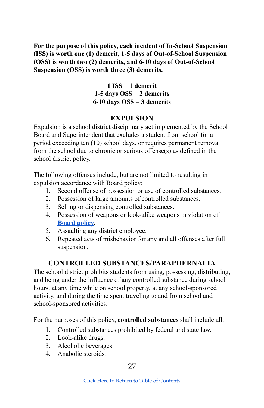**For the purpose of this policy, each incident of In-School Suspension (ISS) is worth one (1) demerit, 1-5 days of Out-of-School Suspension (OSS) is worth two (2) demerits, and 6-10 days of Out-of-School Suspension (OSS) is worth three (3) demerits.**

> **1 ISS = 1 demerit 1-5 days OSS = 2 demerits 6-10 days OSS = 3 demerits**

## **EXPULSION**

<span id="page-26-0"></span>Expulsion is a school district disciplinary act implemented by the School Board and Superintendent that excludes a student from school for a period exceeding ten (10) school days, or requires permanent removal from the school due to chronic or serious offense(s) as defined in the school district policy.

The following offenses include, but are not limited to resulting in expulsion accordance with Board policy:

- 1. Second offense of possession or use of controlled substances.
- 2. Possession of large amounts of controlled substances.
- 3. Selling or dispensing controlled substances.
- 4. Possession of weapons or look-alike weapons in violation of **[Board](http://www.boarddocs.com/pa/whit/Board.nsf/goto?open&id=9P5EY53C92C6) policy.**
- 5. Assaulting any district employee.
- 6. Repeated acts of misbehavior for any and all offenses after full suspension.

## **CONTROLLED SUBSTANCES/PARAPHERNALIA**

<span id="page-26-1"></span>The school district prohibits students from using, possessing, distributing, and being under the influence of any controlled substance during school hours, at any time while on school property, at any school-sponsored activity, and during the time spent traveling to and from school and school-sponsored activities.

For the purposes of this policy, **controlled substances** shall include all:

- 1. Controlled substances prohibited by federal and state law.
- 2. Look-alike drugs.
- 3. Alcoholic beverages.
- 4. Anabolic steroids.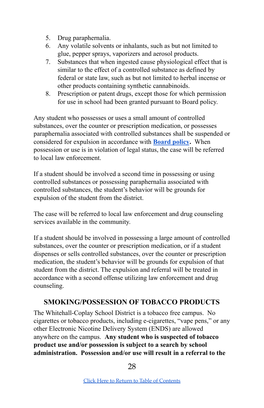- 5. Drug paraphernalia.
- 6. Any volatile solvents or inhalants, such as but not limited to glue, pepper sprays, vaporizers and aerosol products.
- 7. Substances that when ingested cause physiological effect that is similar to the effect of a controlled substance as defined by federal or state law, such as but not limited to herbal incense or other products containing synthetic cannabinoids.
- 8. Prescription or patent drugs, except those for which permission for use in school had been granted pursuant to Board policy.

Any student who possesses or uses a small amount of controlled substances, over the counter or prescription medication, or possesses paraphernalia associated with controlled substances shall be suspended or considered for expulsion in accordance with **[Board](http://www.boarddocs.com/pa/whit/Board.nsf/goto?open&id=9P5EXM3C80F5) policy.** When possession or use is in violation of legal status, the case will be referred to local law enforcement.

If a student should be involved a second time in possessing or using controlled substances or possessing paraphernalia associated with controlled substances, the student's behavior will be grounds for expulsion of the student from the district.

The case will be referred to local law enforcement and drug counseling services available in the community.

If a student should be involved in possessing a large amount of controlled substances, over the counter or prescription medication, or if a student dispenses or sells controlled substances, over the counter or prescription medication, the student's behavior will be grounds for expulsion of that student from the district. The expulsion and referral will be treated in accordance with a second offense utilizing law enforcement and drug counseling.

#### <span id="page-27-0"></span>**SMOKING/POSSESSION OF TOBACCO PRODUCTS**

The Whitehall-Coplay School District is a tobacco free campus. No cigarettes or tobacco products, including e-cigarettes, "vape pens," or any other Electronic Nicotine Delivery System (ENDS) are allowed anywhere on the campus. **Any student who is suspected of tobacco product use and/or possession is subject to a search by school administration. Possession and/or use will result in a referral to the**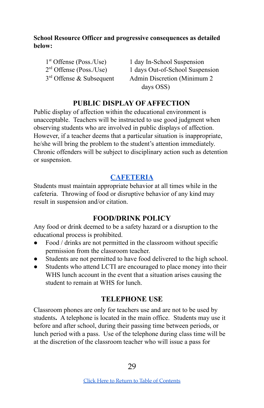#### **School Resource Officer and progressive consequences as detailed below:**

 $1<sup>st</sup>$  Offense (Poss./Use)  $2<sup>rd</sup>$  Offense (Poss./Use)  $3<sup>rd</sup>$  Offense & Subsequent

1 day In-School Suspension 1 days Out-of-School Suspension Admin Discretion (Minimum 2) days OSS)

## **PUBLIC DISPLAY OF AFFECTION**

<span id="page-28-0"></span>Public display of affection within the educational environment is unacceptable. Teachers will be instructed to use good judgment when observing students who are involved in public displays of affection. However, if a teacher deems that a particular situation is inappropriate, he/she will bring the problem to the student's attention immediately. Chronic offenders will be subject to disciplinary action such as detention or suspension.

## **[CAFETERIA](https://pa50000018.schoolwires.net/Page/3314)**

<span id="page-28-2"></span>Students must maintain appropriate behavior at all times while in the cafeteria. Throwing of food or disruptive behavior of any kind may result in suspension and/or citation.

#### **FOOD/DRINK POLICY**

<span id="page-28-1"></span>Any food or drink deemed to be a safety hazard or a disruption to the educational process is prohibited.

- Food / drinks are not permitted in the classroom without specific permission from the classroom teacher.
- Students are not permitted to have food delivered to the high school.
- Students who attend LCTI are encouraged to place money into their WHS lunch account in the event that a situation arises causing the student to remain at WHS for lunch.

#### **TELEPHONE USE**

<span id="page-28-3"></span>Classroom phones are only for teachers use and are not to be used by students**.** A telephone is located in the main office. Students may use it before and after school, during their passing time between periods, or lunch period with a pass. Use of the telephone during class time will be at the discretion of the classroom teacher who will issue a pass for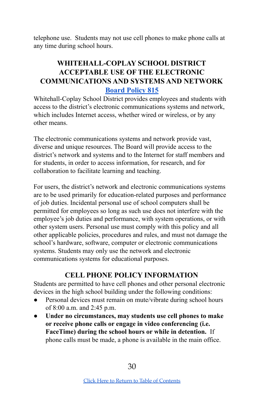telephone use. Students may not use cell phones to make phone calls at any time during school hours.

## <span id="page-29-0"></span>**WHITEHALL-COPLAY SCHOOL DISTRICT [ACCEPTABLE](http://go.boarddocs.com/pa/whit/Board.nsf/goto?open&id=AZWNQV53BE93) USE OF THE ELECTRONIC [COMMUNICATIONS](http://go.boarddocs.com/pa/whit/Board.nsf/goto?open&id=AZWNQV53BE93) AND SYSTEMS AND NETWORK [Board](http://go.boarddocs.com/pa/whit/Board.nsf/goto?open&id=BFYK3L4FEAB5) Policy 815**

Whitehall-Coplay School District provides employees and students with access to the district's electronic communications systems and network, which includes Internet access, whether wired or wireless, or by any other means.

The electronic communications systems and network provide vast, diverse and unique resources. The Board will provide access to the district's network and systems and to the Internet for staff members and for students, in order to access information, for research, and for collaboration to facilitate learning and teaching.

For users, the district's network and electronic communications systems are to be used primarily for education-related purposes and performance of job duties. Incidental personal use of school computers shall be permitted for employees so long as such use does not interfere with the employee's job duties and performance, with system operations, or with other system users. Personal use must comply with this policy and all other applicable policies, procedures and rules, and must not damage the school's hardware, software, computer or electronic communications systems. Students may only use the network and electronic communications systems for educational purposes.

## **CELL PHONE POLICY INFORMATION**

Students are permitted to have cell phones and other personal electronic devices in the high school building under the following conditions:

- Personal devices must remain on mute/vibrate during school hours of 8:00 a.m. and 2:45 p.m.
- **Under no circumstances, may students use cell phones to make or receive phone calls or engage in video conferencing (i.e. FaceTime) during the school hours or while in detention.** If phone calls must be made, a phone is available in the main office.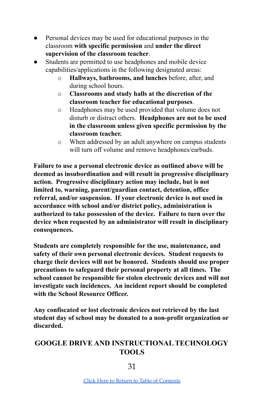- Personal devices may be used for educational purposes in the classroom **with specific permission** and **under the direct supervision of the classroom teacher**.
- Students are permitted to use headphones and mobile device capabilities/applications in the following designated areas:
	- o **Hallways, bathrooms, and lunches** before, after, and during school hours.
	- o **Classrooms and study halls at the discretion of the classroom teacher for educational purposes**.
	- o Headphones may be used provided that volume does not disturb or distract others. **Headphones are not to be used in the classroom unless given specific permission by the classroom teacher.**
	- o When addressed by an adult anywhere on campus students will turn off volume and remove headphones/earbuds.

**Failure to use a personal electronic device as outlined above will be deemed as insubordination and will result in progressive disciplinary action. Progressive disciplinary action may include, but is not limited to, warning, parent/guardian contact, detention, office referral, and/or suspension. If your electronic device is not used in accordance with school and/or district policy, administration is authorized to take possession of the device. Failure to turn over the device when requested by an administrator will result in disciplinary consequences.**

**Students are completely responsible for the use, maintenance, and safety of their own personal electronic devices. Student requests to charge their devices will not be honored. Students should use proper precautions to safeguard their personal property at all times. The school cannot be responsible for stolen electronic devices and will not investigate such incidences. An incident report should be completed with the School Resource Officer.**

**Any confiscated or lost electronic devices not retrieved by the last student day of school may be donated to a non-profit organization or discarded.**

## <span id="page-30-0"></span>**GOOGLE DRIVE AND INSTRUCTIONAL TECHNOLOGY TOOLS**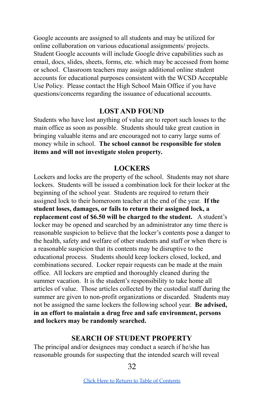Google accounts are assigned to all students and may be utilized for online collaboration on various educational assignments/ projects. Student Google accounts will include Google drive capabilities such as email, docs, slides, sheets, forms, etc. which may be accessed from home or school. Classroom teachers may assign additional online student accounts for educational purposes consistent with the WCSD Acceptable Use Policy. Please contact the High School Main Office if you have questions/concerns regarding the issuance of educational accounts.

#### **LOST AND FOUND**

<span id="page-31-2"></span>Students who have lost anything of value are to report such losses to the main office as soon as possible. Students should take great caution in bringing valuable items and are encouraged not to carry large sums of money while in school. **The school cannot be responsible for stolen items and will not investigate stolen property.**

#### **LOCKERS**

<span id="page-31-1"></span>Lockers and locks are the property of the school. Students may not share lockers. Students will be issued a combination lock for their locker at the beginning of the school year. Students are required to return their assigned lock to their homeroom teacher at the end of the year. **If the student loses, damages, or fails to return their assigned lock, a replacement cost of \$6.50 will be charged to the student.** A student's locker may be opened and searched by an administrator any time there is reasonable suspicion to believe that the locker's contents pose a danger to the health, safety and welfare of other students and staff or when there is a reasonable suspicion that its contents may be disruptive to the educational process. Students should keep lockers closed, locked, and combinations secured. Locker repair requests can be made at the main office. All lockers are emptied and thoroughly cleaned during the summer vacation. It is the student's responsibility to take home all articles of value. Those articles collected by the custodial staff during the summer are given to non-profit organizations or discarded. Students may not be assigned the same lockers the following school year. **Be advised, in an effort to maintain a drug free and safe environment, persons and lockers may be randomly searched.**

#### **SEARCH OF STUDENT PROPERTY**

<span id="page-31-0"></span>The principal and/or designees may conduct a search if he/she has reasonable grounds for suspecting that the intended search will reveal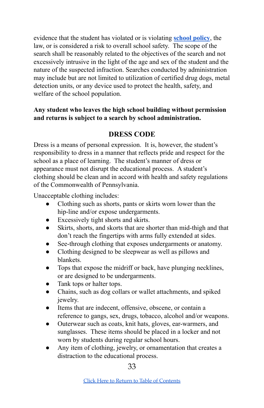evidence that the student has violated or is violating **[school](http://www.boarddocs.com/pa/whit/Board.nsf/goto?open&id=9P5EXK3C7EAE) policy**, the law, or is considered a risk to overall school safety. The scope of the search shall be reasonably related to the objectives of the search and not excessively intrusive in the light of the age and sex of the student and the nature of the suspected infraction. Searches conducted by administration may include but are not limited to utilization of certified drug dogs, metal detection units, or any device used to protect the health, safety, and welfare of the school population.

#### <span id="page-32-0"></span>**Any student who leaves the high school building without permission and returns is subject to a search by school administration.**

## **DRESS CODE**

Dress is a means of personal expression. It is, however, the student's responsibility to dress in a manner that reflects pride and respect for the school as a place of learning. The student's manner of dress or appearance must not disrupt the educational process. A student's clothing should be clean and in accord with health and safety regulations of the Commonwealth of Pennsylvania.

Unacceptable clothing includes:

- Clothing such as shorts, pants or skirts worn lower than the hip-line and/or expose undergarments.
- Excessively tight shorts and skirts.
- Skirts, shorts, and skorts that are shorter than mid-thigh and that don't reach the fingertips with arms fully extended at sides.
- See-through clothing that exposes undergarments or anatomy.
- Clothing designed to be sleepwear as well as pillows and blankets.
- Tops that expose the midriff or back, have plunging necklines, or are designed to be undergarments.
- Tank tops or halter tops.
- Chains, such as dog collars or wallet attachments, and spiked jewelry.
- Items that are indecent, offensive, obscene, or contain a reference to gangs, sex, drugs, tobacco, alcohol and/or weapons.
- Outerwear such as coats, knit hats, gloves, ear-warmers, and sunglasses. These items should be placed in a locker and not worn by students during regular school hours.
- Any item of clothing, jewelry, or ornamentation that creates a distraction to the educational process.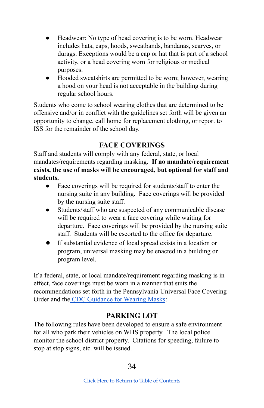- Headwear: No type of head covering is to be worn. Headwear includes hats, caps, hoods, sweatbands, bandanas, scarves, or durags. Exceptions would be a cap or hat that is part of a school activity, or a head covering worn for religious or medical purposes.
- Hooded sweatshirts are permitted to be worn; however, wearing a hood on your head is not acceptable in the building during regular school hours.

Students who come to school wearing clothes that are determined to be offensive and/or in conflict with the guidelines set forth will be given an opportunity to change, call home for replacement clothing, or report to ISS for the remainder of the school day.

## **FACE COVERINGS**

<span id="page-33-1"></span>Staff and students will comply with any federal, state, or local mandates/requirements regarding masking. **If no mandate/requirement exists, the use of masks will be encouraged, but optional for staff and students.**

- Face coverings will be required for students/staff to enter the nursing suite in any building. Face coverings will be provided by the nursing suite staff.
- Students/staff who are suspected of any communicable disease will be required to wear a face covering while waiting for departure. Face coverings will be provided by the nursing suite staff. Students will be escorted to the office for departure.
- If substantial evidence of local spread exists in a location or program, universal masking may be enacted in a building or program level.

If a federal, state, or local mandate/requirement regarding masking is in effect, face coverings must be worn in a manner that suits the recommendations set forth in the Pennsylvania Universal Face Covering Order and the CDC [Guidance](https://www.cdc.gov/coronavirus/2019-ncov/prevent-getting-sick/cloth-face-cover-guidance.html?CDC_AA_refVal=https%3A%2F%2Fwww.cdc.gov%2Fcoronavirus%2F2019-ncov%2Fcommunity%2Fschools-childcare%2Fcloth-face-cover.html) for Wearing Masks:

## **PARKING LOT**

<span id="page-33-0"></span>The following rules have been developed to ensure a safe environment for all who park their vehicles on WHS property. The local police monitor the school district property. Citations for speeding, failure to stop at stop signs, etc. will be issued.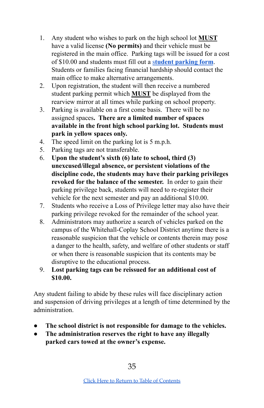- 1. Any student who wishes to park on the high school lot **MUST** have a valid license **(No permits)** and their vehicle must be registered in the main office. Parking tags will be issued for a cost of \$10.00 and students must fill out a s**tudent [parking](https://docs.google.com/document/d/1un_vKmFDJSzO5Zv_r4A6YV8At-ZA3G4vXV2TNjRIGsg/edit?usp=sharing) form**. Students or families facing financial hardship should contact the main office to make alternative arrangements.
- 2. Upon registration, the student will then receive a numbered student parking permit which **MUST** be displayed from the rearview mirror at all times while parking on school property.
- 3. Parking is available on a first come basis. There will be no assigned spaces**. There are a limited number of spaces available in the front high school parking lot. Students must park in yellow spaces only.**
- 4. The speed limit on the parking lot is 5 m.p.h.
- 5. Parking tags are not transferable.
- 6. **Upon the student's sixth (6) late to school, third (3) unexcused/illegal absence, or persistent violations of the discipline code, the students may have their parking privileges revoked for the balance of the semester.** In order to gain their parking privilege back, students will need to re-register their vehicle for the next semester and pay an additional \$10.00.
- 7. Students who receive a Loss of Privilege letter may also have their parking privilege revoked for the remainder of the school year.
- 8. Administrators may authorize a search of vehicles parked on the campus of the Whitehall-Coplay School District anytime there is a reasonable suspicion that the vehicle or contents therein may pose a danger to the health, safety, and welfare of other students or staff or when there is reasonable suspicion that its contents may be disruptive to the educational process.
- 9. **Lost parking tags can be reissued for an additional cost of \$10.00.**

Any student failing to abide by these rules will face disciplinary action and suspension of driving privileges at a length of time determined by the administration.

- **The school district is not responsible for damage to the vehicles.**
- **The administration reserves the right to have any illegally parked cars towed at the owner's expense.**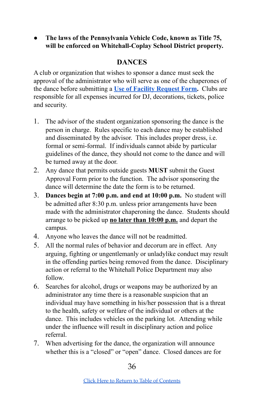#### <span id="page-35-0"></span>● **The laws of the Pennsylvania Vehicle Code, known as Title 75, will be enforced on Whitehall-Coplay School District property.**

#### **DANCES**

A club or organization that wishes to sponsor a dance must seek the approval of the administrator who will serve as one of the chaperones of the dance before submitting a **Use of Facility [Request](https://www.calendarwiz.com/calendars/calendar.php?crd=Whitehallcoplay&) Form.** Clubs are responsible for all expenses incurred for DJ, decorations, tickets, police and security.

- 1. The advisor of the student organization sponsoring the dance is the person in charge. Rules specific to each dance may be established and disseminated by the advisor. This includes proper dress, i.e. formal or semi-formal. If individuals cannot abide by particular guidelines of the dance, they should not come to the dance and will be turned away at the door.
- 2. Any dance that permits outside guests **MUST** submit the Guest Approval Form prior to the function. The advisor sponsoring the dance will determine the date the form is to be returned.
- 3. **Dances begin at 7:00 p.m. and end at 10:00 p.m.** No student will be admitted after 8:30 p.m. unless prior arrangements have been made with the administrator chaperoning the dance. Students should arrange to be picked up **no later than 10:00 p.m.** and depart the campus.
- 4. Anyone who leaves the dance will not be readmitted.
- 5. All the normal rules of behavior and decorum are in effect. Any arguing, fighting or ungentlemanly or unladylike conduct may result in the offending parties being removed from the dance. Disciplinary action or referral to the Whitehall Police Department may also follow.
- 6. Searches for alcohol, drugs or weapons may be authorized by an administrator any time there is a reasonable suspicion that an individual may have something in his/her possession that is a threat to the health, safety or welfare of the individual or others at the dance. This includes vehicles on the parking lot. Attending while under the influence will result in disciplinary action and police referral.
- 7. When advertising for the dance, the organization will announce whether this is a "closed" or "open" dance. Closed dances are for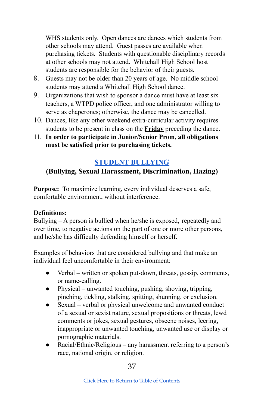WHS students only. Open dances are dances which students from other schools may attend. Guest passes are available when purchasing tickets. Students with questionable disciplinary records at other schools may not attend. Whitehall High School host students are responsible for the behavior of their guests.

- 8. Guests may not be older than 20 years of age. No middle school students may attend a Whitehall High School dance.
- 9. Organizations that wish to sponsor a dance must have at least six teachers, a WTPD police officer, and one administrator willing to serve as chaperones; otherwise, the dance may be cancelled.
- 10. Dances, like any other weekend extra-curricular activity requires students to be present in class on the **Friday** preceding the dance.
- 11. **In order to participate in Junior/Senior Prom, all obligations must be satisfied prior to purchasing tickets.**

## **STUDENT [BULLYING](http://go.boarddocs.com/pa/whit/Board.nsf/goto?open&id=B8GS4L7087B5)**

## <span id="page-36-0"></span>**(Bullying, Sexual Harassment, Discrimination, Hazing)**

**Purpose:** To maximize learning, every individual deserves a safe, comfortable environment, without interference.

#### **Definitions:**

Bullying – A person is bullied when he/she is exposed, repeatedly and over time, to negative actions on the part of one or more other persons, and he/she has difficulty defending himself or herself.

Examples of behaviors that are considered bullying and that make an individual feel uncomfortable in their environment:

- Verbal written or spoken put-down, threats, gossip, comments, or name-calling.
- Physical unwanted touching, pushing, shoving, tripping, pinching, tickling, stalking, spitting, shunning, or exclusion.
- Sexual verbal or physical unwelcome and unwanted conduct of a sexual or sexist nature, sexual propositions or threats, lewd comments or jokes, sexual gestures, obscene noises, leering, inappropriate or unwanted touching, unwanted use or display or pornographic materials.
- Racial/Ethnic/Religious any harassment referring to a person's race, national origin, or religion.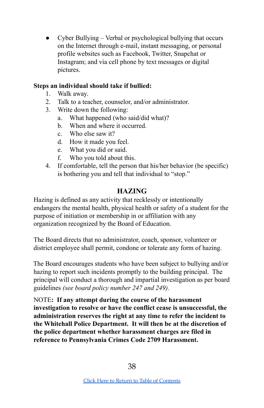• Cyber Bullying – Verbal or psychological bullying that occurs on the Internet through e-mail, instant messaging, or personal profile websites such as Facebook, Twitter, Snapchat or Instagram; and via cell phone by text messages or digital pictures.

#### **Steps an individual should take if bullied:**

- 1. Walk away.
- 2. Talk to a teacher, counselor, and/or administrator.
- 3. Write down the following:
	- a. What happened (who said/did what)?
	- b. When and where it occurred.
	- c. Who else saw it?
	- d. How it made you feel.
	- e. What you did or said.
	- f. Who you told about this.
- 4. If comfortable, tell the person that his/her behavior (be specific) is bothering you and tell that individual to "stop."

#### **HAZING**

<span id="page-37-0"></span>Hazing is defined as any activity that recklessly or intentionally endangers the mental health, physical health or safety of a student for the purpose of initiation or membership in or affiliation with any organization recognized by the Board of Education.

The Board directs that no administrator, coach, sponsor, volunteer or district employee shall permit, condone or tolerate any form of hazing.

The Board encourages students who have been subject to bullying and/or hazing to report such incidents promptly to the building principal. The principal will conduct a thorough and impartial investigation as per board guidelines *(see board policy number 247 and 249).*

NOTE**: If any attempt during the course of the harassment investigation to resolve or have the conflict cease is unsuccessful, the administration reserves the right at any time to refer the incident to the Whitehall Police Department. It will then be at the discretion of the police department whether harassment charges are filed in reference to Pennsylvania Crimes Code 2709 Harassment.**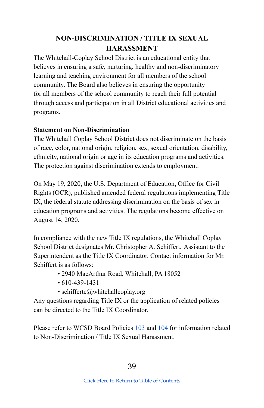## **NON-DISCRIMINATION / TITLE IX SEXUAL HARASSMENT**

<span id="page-38-0"></span>The Whitehall-Coplay School District is an educational entity that believes in ensuring a safe, nurturing, healthy and non-discriminatory learning and teaching environment for all members of the school community. The Board also believes in ensuring the opportunity for all members of the school community to reach their full potential through access and participation in all District educational activities and programs.

#### **Statement on Non-Discrimination**

The Whitehall Coplay School District does not discriminate on the basis of race, color, national origin, religion, sex, sexual orientation, disability, ethnicity, national origin or age in its education programs and activities. The protection against discrimination extends to employment.

On May 19, 2020, the U.S. Department of Education, Office for Civil Rights (OCR), published amended federal regulations implementing Title IX, the federal statute addressing discrimination on the basis of sex in education programs and activities. The regulations become effective on August 14, 2020.

In compliance with the new Title IX regulations, the Whitehall Coplay School District designates Mr. Christopher A. Schiffert, Assistant to the Superintendent as the Title IX Coordinator. Contact information for Mr. Schiffert is as follows:

- 2940 MacArthur Road, Whitehall, PA 18052
- 610-439-1431
- schiffertc@whitehallcoplay.org

Any questions regarding Title IX or the application of related policies can be directed to the Title IX Coordinator.

Please refer to WCSD Board Policies [103](http://go.boarddocs.com/pa/whit/Board.nsf/goto?open&id=B8GS2C708786) and [104](http://go.boarddocs.com/pa/whit/Board.nsf/goto?open&id=B8GS2Y70879B) for information related to Non-Discrimination / Title IX Sexual Harassment.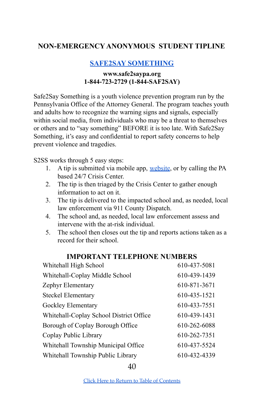#### <span id="page-39-1"></span><span id="page-39-0"></span>**NON-EMERGENCY ANONYMOUS STUDENT TIPLINE**

#### **SAFE2SAY [SOMETHING](https://www.safe2saypa.org/)**

#### **[www.safe2saypa.org](https://www.safe2saypa.org/) 1-844-723-2729 (1-844-SAF2SAY)**

Safe2Say Something is a youth violence prevention program run by the Pennsylvania Office of the Attorney General. The program teaches youth and adults how to recognize the warning signs and signals, especially within social media, from individuals who may be a threat to themselves or others and to "say something" BEFORE it is too late. With Safe2Say Something, it's easy and confidential to report safety concerns to help prevent violence and tragedies.

S2SS works through 5 easy steps:

- 1. A tip is submitted via mobile app, [website](https://www.safe2saypa.org/), or by calling the PA based 24/7 Crisis Center.
- 2. The tip is then triaged by the Crisis Center to gather enough information to act on it.
- 3. The tip is delivered to the impacted school and, as needed, local law enforcement via 911 County Dispatch.
- 4. The school and, as needed, local law enforcement assess and intervene with the at-risk individual.
- 5. The school then closes out the tip and reports actions taken as a record for their school.

#### **IMPORTANT TELEPHONE NUMBERS**

<span id="page-39-2"></span>

| Whitehall High School                   | 610-437-5081 |
|-----------------------------------------|--------------|
| Whitehall-Coplay Middle School          | 610-439-1439 |
| Zephyr Elementary                       | 610-871-3671 |
| Steckel Elementary                      | 610-435-1521 |
| Gockley Elementary                      | 610-433-7551 |
| Whitehall-Coplay School District Office | 610-439-1431 |
| Borough of Coplay Borough Office        | 610-262-6088 |
| Coplay Public Library                   | 610-262-7351 |
| Whitehall Township Municipal Office     | 610-437-5524 |
| Whitehall Township Public Library       | 610-432-4339 |

40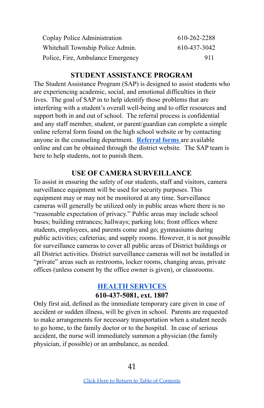| Coplay Police Administration      | 610-262-2288 |
|-----------------------------------|--------------|
| Whitehall Township Police Admin.  | 610-437-3042 |
| Police, Fire, Ambulance Emergency | 911          |

#### **STUDENT ASSISTANCE PROGRAM**

<span id="page-40-0"></span>The Student Assistance Program (SAP) is designed to assist students who are experiencing academic, social, and emotional difficulties in their lives. The goal of SAP in to help identify those problems that are interfering with a student's overall well-being and to offer resources and support both in and out of school. The referral process is confidential and any staff member, student, or parent/guardian can complete a simple online referral form found on the high school website or by contacting anyone in the counseling department. **[Referral](https://docs.google.com/a/whitehallcoplay.org/forms/viewform?hl=en&id=1z0o5MTlrmNK_nEeP0nyoVCSuQELaU8ciNjG7rKrvu-E) forms** are available online and can be obtained through the district [website](http://www.whitehallcoplay.org/districtsite/). The SAP team is here to help students, not to punish them.

#### **USE OF CAMERA SURVEILLANCE**

<span id="page-40-2"></span>To assist in ensuring the safety of our students, staff and visitors, camera surveillance equipment will be used for security purposes. This equipment may or may not be monitored at any time. Surveillance cameras will generally be utilized only in public areas where there is no "reasonable expectation of privacy." Public areas may include school buses; building entrances; hallways; parking lots; front offices where students, employees, and parents come and go; gymnasiums during public activities; cafeterias; and supply rooms. However, it is not possible for surveillance cameras to cover all public areas of District buildings or all District activities. District surveillance cameras will not be installed in "private" areas such as restrooms, locker rooms, changing areas, private offices (unless consent by the office owner is given), or classrooms.

#### **HEALTH [SERVICES](https://sites.google.com/whitehallcoplay.org/whitehallhs/health-services) 610-437-5081, ext. 1807**

<span id="page-40-1"></span>Only first aid, defined as the immediate temporary care given in case of accident or sudden illness, will be given in school. Parents are requested to make arrangements for necessary transportation when a student needs to go home, to the family doctor or to the hospital. In case of serious accident, the nurse will immediately summon a physician (the family physician, if possible) or an ambulance, as needed.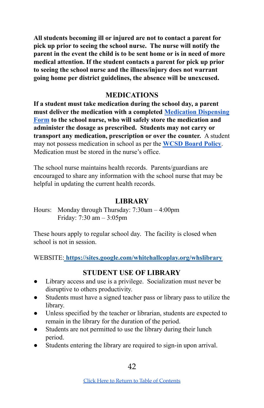**All students becoming ill or injured are not to contact a parent for pick up prior to seeing the school nurse. The nurse will notify the parent in the event the child is to be sent home or is in need of more medical attention. If the student contacts a parent for pick up prior to seeing the school nurse and the illness/injury does not warrant going home per district guidelines, the absence will be unexcused.**

#### **MEDICATIONS**

<span id="page-41-1"></span>**If a student must take medication during the school day, a parent must deliver the medication with a completed [Medication](https://www.whitehallcoplay.org/cms/lib/PA50000018/Centricity/Domain/3206/Medication%20Dispensing%20Form.pdf) Dispensing [Form](https://www.whitehallcoplay.org/cms/lib/PA50000018/Centricity/Domain/3206/Medication%20Dispensing%20Form.pdf) to the school nurse, who will safely store the medication and administer the dosage as prescribed. Students may not carry or transport any medication, prescription or over the counter.** A student may not possess medication in school as per the **[WCSD](http://www.boarddocs.com/pa/whit/Board.nsf/goto?open&id=9P5EVY3C42FF) Board Policy**. Medication must be stored in the nurse's office.

The school nurse maintains health records. Parents/guardians are encouraged to share any information with the school nurse that may be helpful in updating the current health records.

#### **LIBRARY**

<span id="page-41-0"></span>Hours: Monday through Thursday: 7:30am – 4:00pm Friday: 7:30 am – 3:05pm

These hours apply to regular school day. The facility is closed when school is not in session.

WEBSITE: **<https://sites.google.com/whitehallcoplay.org/whslibrary>**

#### **STUDENT USE OF LIBRARY**

- Library access and use is a privilege. Socialization must never be disruptive to others productivity.
- Students must have a signed teacher pass or library pass to utilize the library.
- Unless specified by the teacher or librarian, students are expected to remain in the library for the duration of the period.
- Students are not permitted to use the library during their lunch period.
- Students entering the library are required to sign-in upon arrival.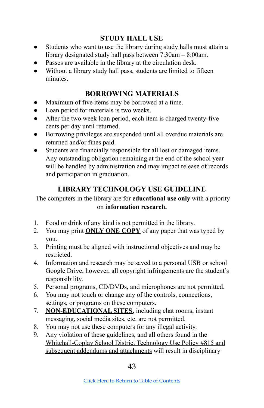## **STUDY HALL USE**

- Students who want to use the library during study halls must attain a library designated study hall pass between 7:30am – 8:00am.
- Passes are available in the library at the circulation desk.
- Without a library study hall pass, students are limited to fifteen minutes.

## **BORROWING MATERIALS**

- Maximum of five items may be borrowed at a time.
- Loan period for materials is two weeks.
- After the two week loan period, each item is charged twenty-five cents per day until returned.
- Borrowing privileges are suspended until all overdue materials are returned and/or fines paid.
- Students are financially responsible for all lost or damaged items. Any outstanding obligation remaining at the end of the school year will be handled by administration and may impact release of records and participation in graduation.

## **LIBRARY TECHNOLOGY USE GUIDELINE**

The computers in the library are for **educational use only** with a priority on **information research.**

- 1. Food or drink of any kind is not permitted in the library.
- 2. You may print **ONLY ONE COPY** of any paper that was typed by you.
- 3. Printing must be aligned with instructional objectives and may be restricted.
- 4. Information and research may be saved to a personal USB or school Google Drive; however, all copyright infringements are the student's responsibility.
- 5. Personal programs, CD/DVDs, and microphones are not permitted.
- 6. You may not touch or change any of the controls, connections, settings, or programs on these computers.
- 7. **NON-EDUCATIONAL SITES**, including chat rooms, instant messaging, social media sites, etc. are not permitted.
- 8. You may not use these computers for any illegal activity.
- 9. Any violation of these guidelines, and all others found in the Whitehall-Coplay School District Technology Use Policy #815 and subsequent addendums and attachments will result in disciplinary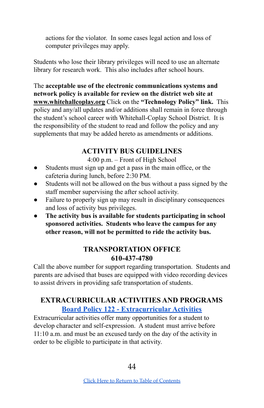actions for the violator. In some cases legal action and loss of computer privileges may apply.

Students who lose their library privileges will need to use an alternate library for research work. This also includes after school hours.

The **acceptable use of the electronic communications systems and network policy is available for review on the district web site at www.whitehallcoplay.org** Click on the **"Technology Policy" link.** This policy and any/all updates and/or additions shall remain in force through the student's school career with Whitehall-Coplay School District. It is the responsibility of the student to read and follow the policy and any supplements that may be added hereto as amendments or additions.

## **ACTIVITY BUS GUIDELINES**

4:00 p.m. – Front of High School

- <span id="page-43-0"></span>Students must sign up and get a pass in the main office, or the cafeteria during lunch, before 2:30 PM.
- Students will not be allowed on the bus without a pass signed by the staff member supervising the after school activity.
- Failure to properly sign up may result in disciplinary consequences and loss of activity bus privileges.
- **The activity bus is available for students participating in school sponsored activities. Students who leave the campus for any other reason, will not be permitted to ride the activity bus.**

## **TRANSPORTATION OFFICE 610-437-4780**

<span id="page-43-2"></span>Call the above number for support regarding transportation. Students and parents are advised that buses are equipped with video recording devices to assist drivers in providing safe transportation of students.

## <span id="page-43-1"></span>**EXTRACURRICULAR ACTIVITIES AND PROGRAMS Board Policy 122 - [Extracurricular](http://go.boarddocs.com/pa/whit/Board.nsf/goto?open&id=BTZH26465022) Activities**

Extracurricular activities offer many opportunities for a student to develop character and self-expression. A student must arrive before 11:10 a.m. and must be an excused tardy on the day of the activity in order to be eligible to participate in that activity.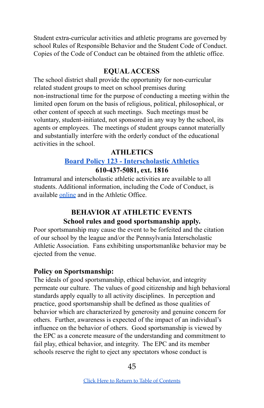Student extra-curricular activities and athletic programs are governed by school Rules of Responsible Behavior and the Student Code of Conduct. Copies of the Code of Conduct can be obtained from the athletic office.

## **EQUALACCESS**

The school district shall provide the opportunity for non-curricular related student groups to meet on school premises during non-instructional time for the purpose of conducting a meeting within the limited open forum on the basis of religious, political, philosophical, or other content of speech at such meetings. Such meetings must be voluntary, student-initiated, not sponsored in any way by the school, its agents or employees. The meetings of student groups cannot materially and substantially interfere with the orderly conduct of the educational activities in the school.

#### **ATHLETICS**

## **Board Policy 123 - [Interscholastic](http://go.boarddocs.com/pa/whit/Board.nsf/goto?open&id=BTZH27465023) Athletics 610-437-5081, ext. 1816**

<span id="page-44-0"></span>Intramural and interscholastic athletic activities are available to all students. Additional information, including the Code of Conduct, is available [online](https://zephyrathletics.com/) and in the Athletic Office.

## **BEHAVIOR AT ATHLETIC EVENTS School rules and good sportsmanship apply.**

<span id="page-44-1"></span>Poor sportsmanship may cause the event to be forfeited and the citation of our school by the league and/or the Pennsylvania Interscholastic Athletic Association. Fans exhibiting unsportsmanlike behavior may be ejected from the venue.

## **Policy on Sportsmanship:**

The ideals of good sportsmanship, ethical behavior, and integrity permeate our culture. The values of good citizenship and high behavioral standards apply equally to all activity disciplines. In perception and practice, good sportsmanship shall be defined as those qualities of behavior which are characterized by generosity and genuine concern for others. Further, awareness is expected of the impact of an individual's influence on the behavior of others. Good sportsmanship is viewed by the EPC as a concrete measure of the understanding and commitment to fail play, ethical behavior, and integrity. The EPC and its member schools reserve the right to eject any spectators whose conduct is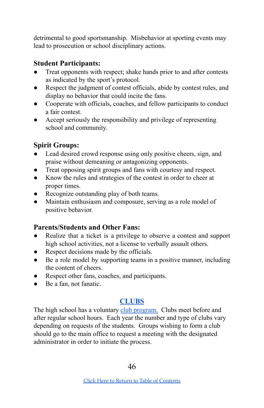detrimental to good sportsmanship. Misbehavior at sporting events may lead to prosecution or school disciplinary actions.

## **Student Participants:**

- Treat opponents with respect; shake hands prior to and after contests as indicated by the sport's protocol.
- Respect the judgment of contest officials, abide by contest rules, and display no behavior that could incite the fans.
- Cooperate with officials, coaches, and fellow participants to conduct a fair contest.
- Accept seriously the responsibility and privilege of representing school and community.

## **Spirit Groups:**

- Lead desired crowd response using only positive cheers, sign, and praise without demeaning or antagonizing opponents.
- Treat opposing spirit groups and fans with courtesy and respect.
- Know the rules and strategies of the contest in order to cheer at proper times.
- Recognize outstanding play of both teams.
- Maintain enthusiasm and composure, serving as a role model of positive behavior.

## **Parents/Students and Other Fans:**

- Realize that a ticket is a privilege to observe a contest and support high school activities, not a license to verbally assault others.
- Respect decisions made by the officials.
- Be a role model by supporting teams in a positive manner, including the content of cheers.
- Respect other fans, coaches, and participants.
- Be a fan, not fanatic.

## **[CLUBS](https://docs.google.com/document/d/1Xt_j78j7U9RQd2tqb6vKGyVhosAEXwgKXDTNpEVZ5EI/edit?usp=sharing)**

<span id="page-45-0"></span>The high school has a voluntary club [program.](https://docs.google.com/document/d/1Xt_j78j7U9RQd2tqb6vKGyVhosAEXwgKXDTNpEVZ5EI/edit?usp=sharing) Clubs meet before and after regular school hours. Each year the number and type of clubs vary depending on requests of the students. Groups wishing to form a club should go to the main office to request a meeting with the designated administrator in order to initiate the process.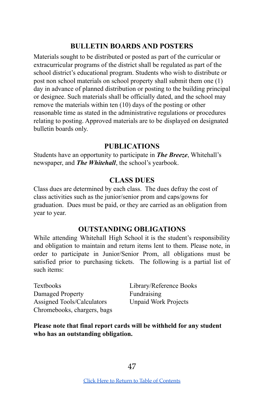#### **BULLETIN BOARDS AND POSTERS**

<span id="page-46-1"></span>Materials sought to be distributed or posted as part of the curricular or extracurricular programs of the district shall be regulated as part of the school district's educational program. Students who wish to distribute or post non school materials on school property shall submit them one (1) day in advance of planned distribution or posting to the building principal or designee. Such materials shall be officially dated, and the school may remove the materials within ten (10) days of the posting or other reasonable time as stated in the administrative regulations or procedures relating to posting. Approved materials are to be displayed on designated bulletin boards only.

#### **PUBLICATIONS**

<span id="page-46-0"></span>Students have an opportunity to participate in *The Breeze*, Whitehall's newspaper, and *The Whitehall*, the school's yearbook.

#### **CLASS DUES**

<span id="page-46-2"></span>Class dues are determined by each class. The dues defray the cost of class activities such as the junior/senior prom and caps/gowns for graduation. Dues must be paid, or they are carried as an obligation from year to year.

#### **OUTSTANDING OBLIGATIONS**

<span id="page-46-3"></span>While attending Whitehall High School it is the student's responsibility and obligation to maintain and return items lent to them. Please note, in order to participate in Junior/Senior Prom, all obligations must be satisfied prior to purchasing tickets. The following is a partial list of such items:

Textbooks Library/Reference Books Damaged Property Fundraising Assigned Tools/Calculators Unpaid Work Projects Chromebooks, chargers, bags

**Please note that final report cards will be withheld for any student who has an outstanding obligation.**